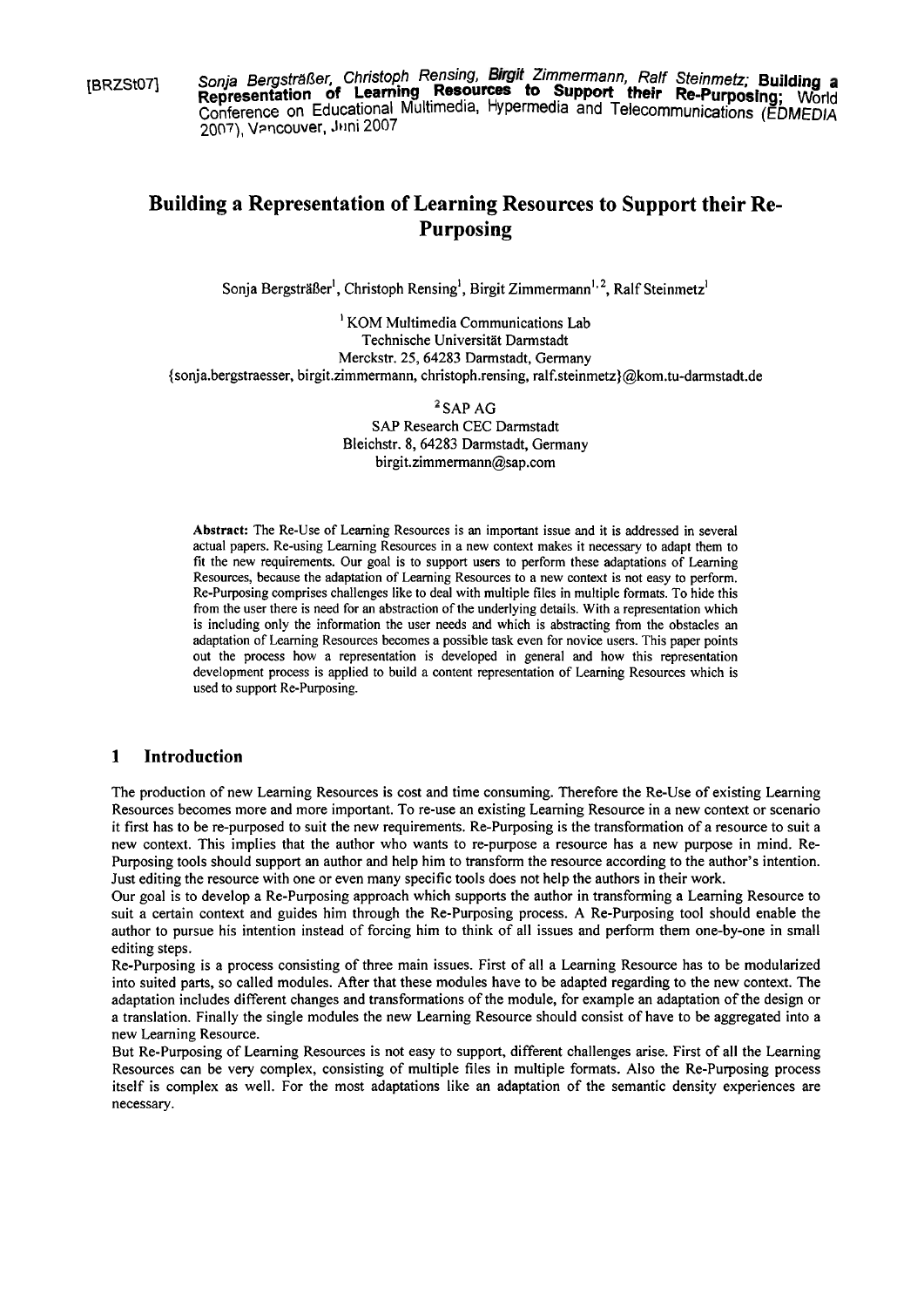**(BRZSt07)** Sonja Bergsträßer, Christoph Rensing, Birgit Zimmermann, Ralf Steinmetz; Building a<br>**Representation of Learning Resources to Support their Re-Purposing;** World Conference on Educational Multimedia, Hypermedia and Telecommunications (EDMEDIA **2007),** Vmcouver, Jmi 2007

# **Building a Representation of Learning Resources to Support their Re-Purposing**

Sonja Bergsträßer<sup>1</sup>, Christoph Rensing<sup>1</sup>, Birgit Zimmermann<sup>1, 2</sup>, Ralf Steinmetz<sup>1</sup>

 $<sup>1</sup>$  KOM Multimedia Communications Lab</sup> Technische Universität Darmstadt Merckstr. **25,64283** Darmstadt, Germany (sonja.bergstraesser, birgit.zimmermann, christoph.rensing, **ralf.steinmetz)@kom.tu-darmstadt.de** 

> $2$  SAP AG **SAP** Research CEC Darmstadt Bleichstr. **8, 64283** Darmstadt, Germany **birgit.zimmermann@sap.com**

**Abstract:** The Re-Use of Leaming Resources is an important issue and it is addressed in several actual Papers. Re-using Leaming Resources in a new context makes it necessary to adapt them to fit the new requirements. Our goal is to support users to perform these adaptations of Leaming Resources, because the adaptation of Leaming Resources to a new context is not easy to perform. Re-Purposing comprises challenges like to deal with multiple files in multiple formats. To hide this from the user there is need for an abstraction of the underlying details. With a representation which is including only the information the user needs and which is abstracting from the obstacles an adaptation of Learning Resources becomes a possible task even for novice users. This paper points out the process how a representation is developed in general and how this representation development process is applied to build a content representation of Leaming Resources which is used to support Re-Purposing.

### **1 Introduction**

The production of new Leaming Resources is cost and time consuming. Therefore the Re-Use of existing Learning Resources becomes more and more important. To re-use an existing Leaming Resource in a new context or scenano it first has to be re-purposed to suit the new requirements. Re-Purposing is the transformation of a resource to suit a new context. This implies that the author who wants to re-purpose a resource has a new purpose in mind. Re-Purposing tools should support an author and help him to transform the resource according to the author's intention. Just editing the resource with one or even many specific tools does not help the authors in their work.

Our goal is to develop a Re-Purposing approach which supports the author in transforming a Leaming Resource to suit a certain context and guides him through the Re-Purposing process. A Re-Purposing tool should enable the author to pursue his intention instead of forcing him to think of all issues and perform them one-by-one in small editing steps.

Re-Purposing is a process consisting of three main issues. First of all a Learning Resource has to be modularized into suited parts, so called modules. After that these modules have to be adapted regarding to the new context. The adaptation includes different changes and transformations of the module, for example an adaptation of the design or a translation. Finally the single modules the new Leaming Resource should consist of have to be aggregated into a new Leaming Resource.

But Re-Purposing of Leaming Resources is not easy to support, different challenges arise. First of all the Learning Resources can be very complex, consisting of multiple files in multiple formats. Also the Re-Purposing process itself is complex as well. For the most adaptations like an adaptation of the semantic density experiences are necessary.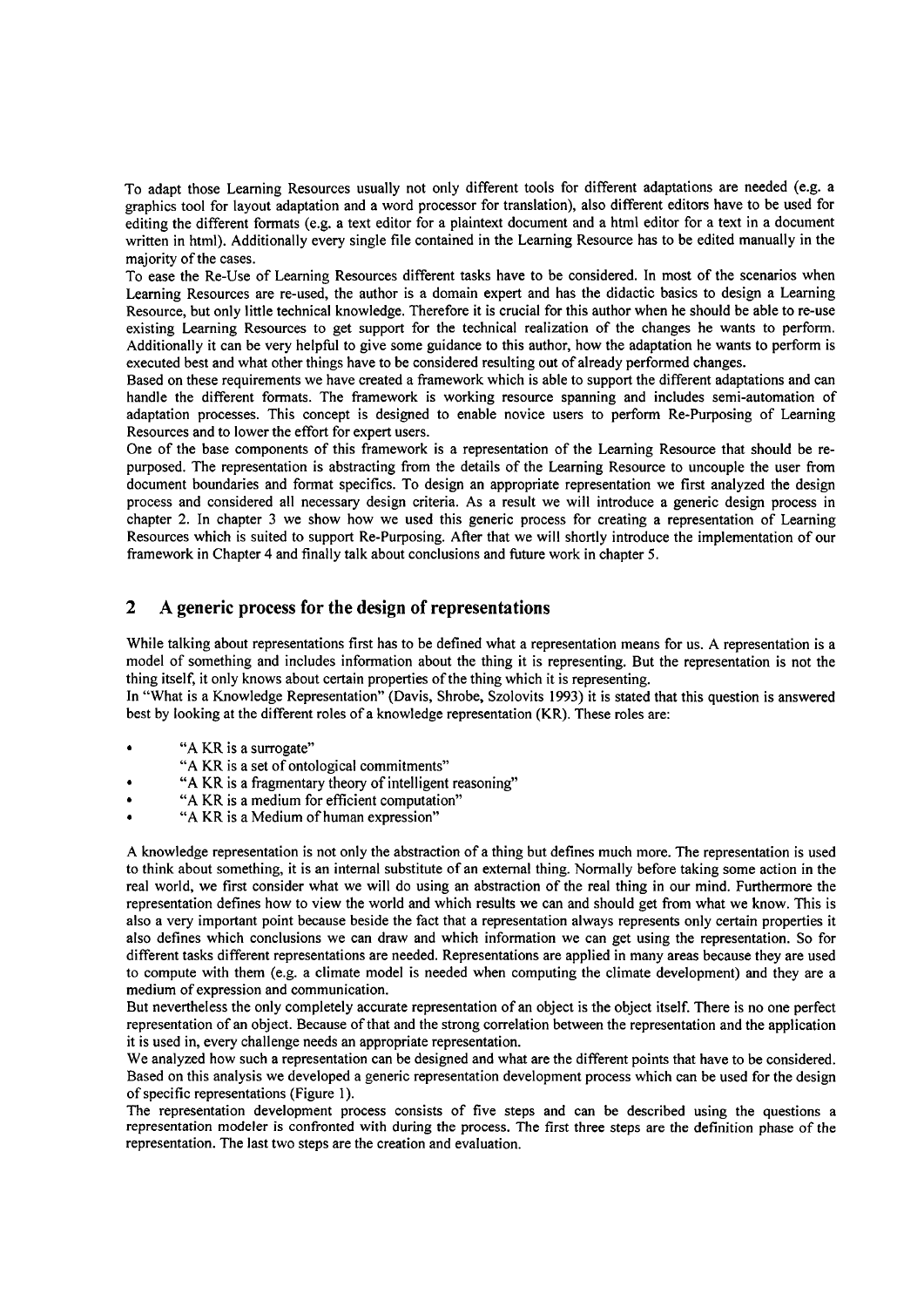To adapt those Leaming Resources usually not only different tools for different adaptations are needed (e.g. a graphics tool for layout adaptation and a word processor for translation), also different editors have to be used for editing the different formats (e.g. a text editor for a plaintext document and a html editor for a text in a document written in html). Additionally every single file contained in the Leaming Resource has to be edited manually in the majority of the cases.

To ease the Re-Use of Leaming Resources different tasks have to be considered. In most of the scenarios when Learning Resources are re-used, the author is a domain expert and has the didactic basics to design a Learning Resource, but only little technical knowledge. Therefore it is crucial for this author when he should be able to re-use existing Learning Resources to get support for the technical realization of the changes he wants to perform. Additionally it can be very helpful to give some guidance to this author, how the adaptation he wants to perform is executed best and what other things have to be considered resulting out of already performed changes.

Based on these requirements we have created a fiamework which is able to support the different adaptations and can handle the different formats. The fiamework is working resource spanning and includes semi-automation of adaptation processes. This concept is designed to enable novice users to perform Re-Purposing of Leaming Resources and to lower the effort for expert users.

One of the base components of this framework is a representation of the Learning Resource that should be repurposed. The representation is abstracting from the details of the Learning Resource to uncouple the user from document boundaries and format specifics. To design an appropriate representation we first analyzed the design process and considered all necessary design criteria. As a result we will introduce a generic design process in chapter 2. In chapter **3** we show how we used this generic process for creating a representation of Leaming Resources which is suited to support Re-Purposing. After that we will shortly introduce the implementation of our fiamework in Chapter 4 and finally talk about conclusions and future work in chapter 5.

# **2 A generic process for the design of representations**

While talking about representations first has to be defined what a representation means for us. A representation is a model of something and includes information about the thing it is representing. But the representation is not the thing itself, it only knows about certain properties of the thing which it is representing.

In "What is a Knowledge Representation" (Davis, Shrobe, Szolovits 1993) it is stated that this question is answered best by looking at the different roles of a knowledge representation (KR). These roles are:

- 
- "A KR is a surrogate"<br>"A KR is a set of ontological commitments"
- "A KR is a fragmentary theory of intelligent reasoning"<br>"A KR is a medium for efficient computation" .<br>"A KR is a Medium of human expression"
- 
- 

A knowledge representation is not only the abstraction of a thing but defines much more. The representation is used to think about something, it is an intemal substitute of an extemal thing. Normally before taking some action in the real world, we first consider what we will do using an abstraction of the real thing in our mind. Furthermore the representation defines how to view the world and which results we can and should get fiom what we know. This is also a very important point because beside the fact that a representation always represents only certain properties it also defines which conclusions we can draw and which information we can get using the representation. So for different tasks different representations are needed. Representations are applied in many areas because they are used to compute with them (e.g. a climate model is needed when computing the climate development) and they are a medium of expression and communication.

But nevertheless the only completely accurate representation of an object is the object itself. There is no one perfect representation of an object. Because of that and the strong correlation between the representation and the application it is used in, every challenge needs an appropriate representation.

We analyzed how such a representation can be designed and what are the different points that have to be considered. Based on this analysis we developed a generic representation development process which can be used for the design of specific representations (Figure 1).

The representation development process consists of five steps and can be described using the questions a representation modeler is confronted with during the process. The first three steps are the definition phase of the representation. The last two steps are the creation and evaluation.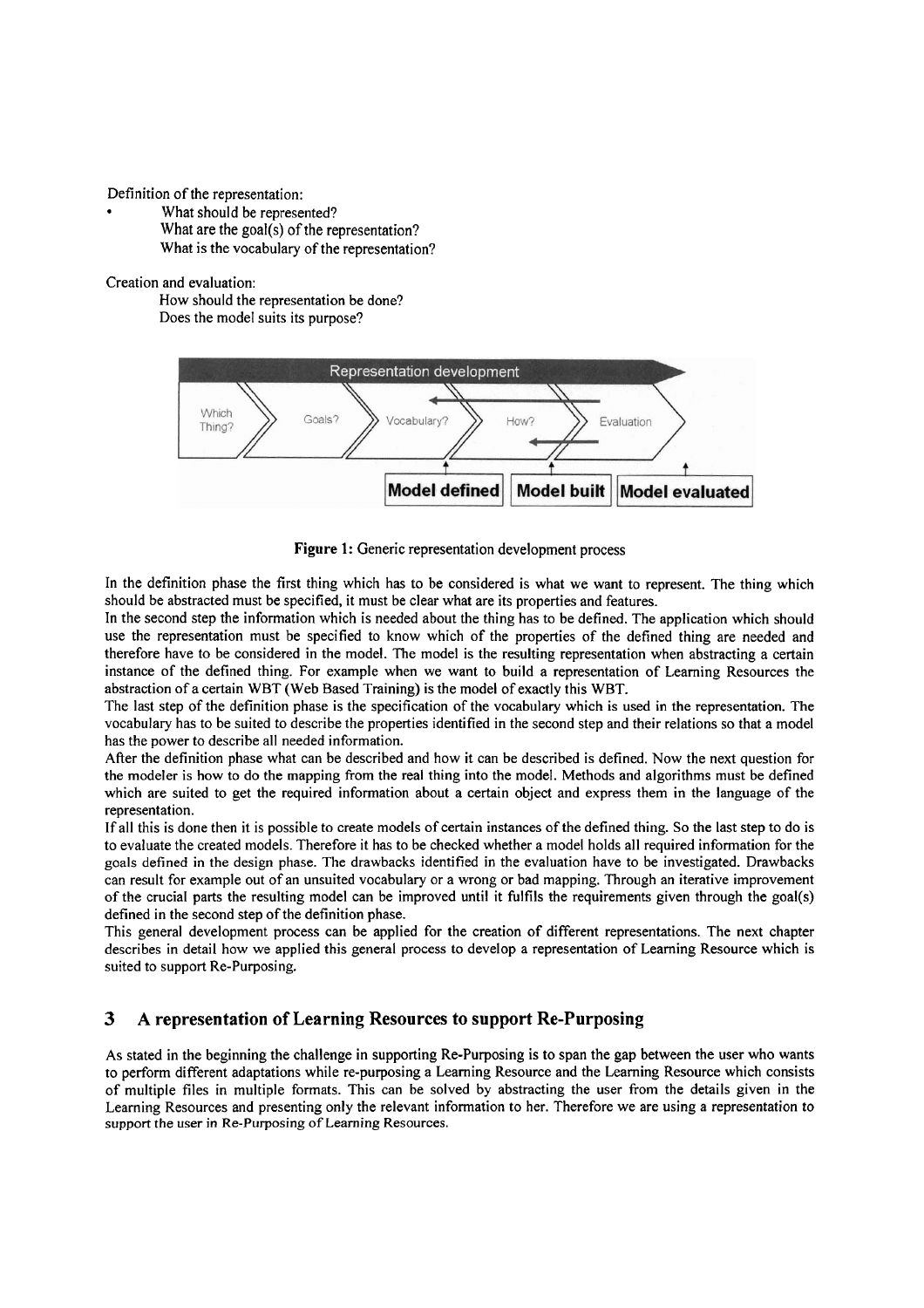- Definition of the representation:<br>• What should be represented?
	- What are the goal(s) of the representation? What is the vocabulary of the representation?

Creation and evaluation:

How should the representation be done? Does the model suits its purpose?



**Figure** 1: Generic representation development process

In the definition phase the first thing which has to be considered is what we want to represent. The thing which should be abstracted must be specified, it must be clear what are its properties and features.

In the second step the information which is needed about the thing has to be defined. The application which should use the representation must be specified to know which of the properties of the defined thing are needed and therefore have to be considered in the model. The model is the resulting representation when abstracting a certain instance of the defined thing. For example when we Want to build a representation of Learning Resources the abstraction of a certain WBT (Web Based Training) is the model of exactly this WBT.

The last step of the definition phase is the specification of the vocabulary which is used in the representation. The vocabulary has to be suited to describe the properties identified in the second step and their relations so that a model has the power to describe all needed information.

After the definition phase what can be described and how it can be described is defined. Now the next question for the modeler is how to do the mapping from the real thing into the model. Methods and algorithms must be defined which are suited to get the required information about a certain object and express them in the language of the representation.

If all this is done then it is possible to create models of certain instances of the defined thing. So the last step to do is to evaluate the created models. Therefore it has to be checked whether a model holds all required information for the goals defined in the design phase. The drawbacks identified in the evaluation have to be investigated. Drawbacks can result for example out of an unsuited vocabulary or a wrong or bad mapping. Through an iterative improvement of the crucial parts the resulting model can be improved until it fulfils the requirements given through the goal(s) defined in the second step of the definition phase.

This general development process can be applied for the creation of different representations. The next chapter describes in detail how we applied this general process to develop a representation of Learning Resource which is suited to support Re-Purposing.

# **3 A representation of Learning Resources to support Re-Purposing**

As stated in the beginning the challenge in supporting Re-Purposing is to span the gap between the user who wants to perform different adaptations while re-purposing a Learning Resource and the Learning Resource which consists of multiple files in multiple formats. This can be solved by abstracting the User from the details given in the Learning Resources and presenting only the relevant information to her. Therefore we are using a representation to support the user in Re-Purposing of Learning Resources.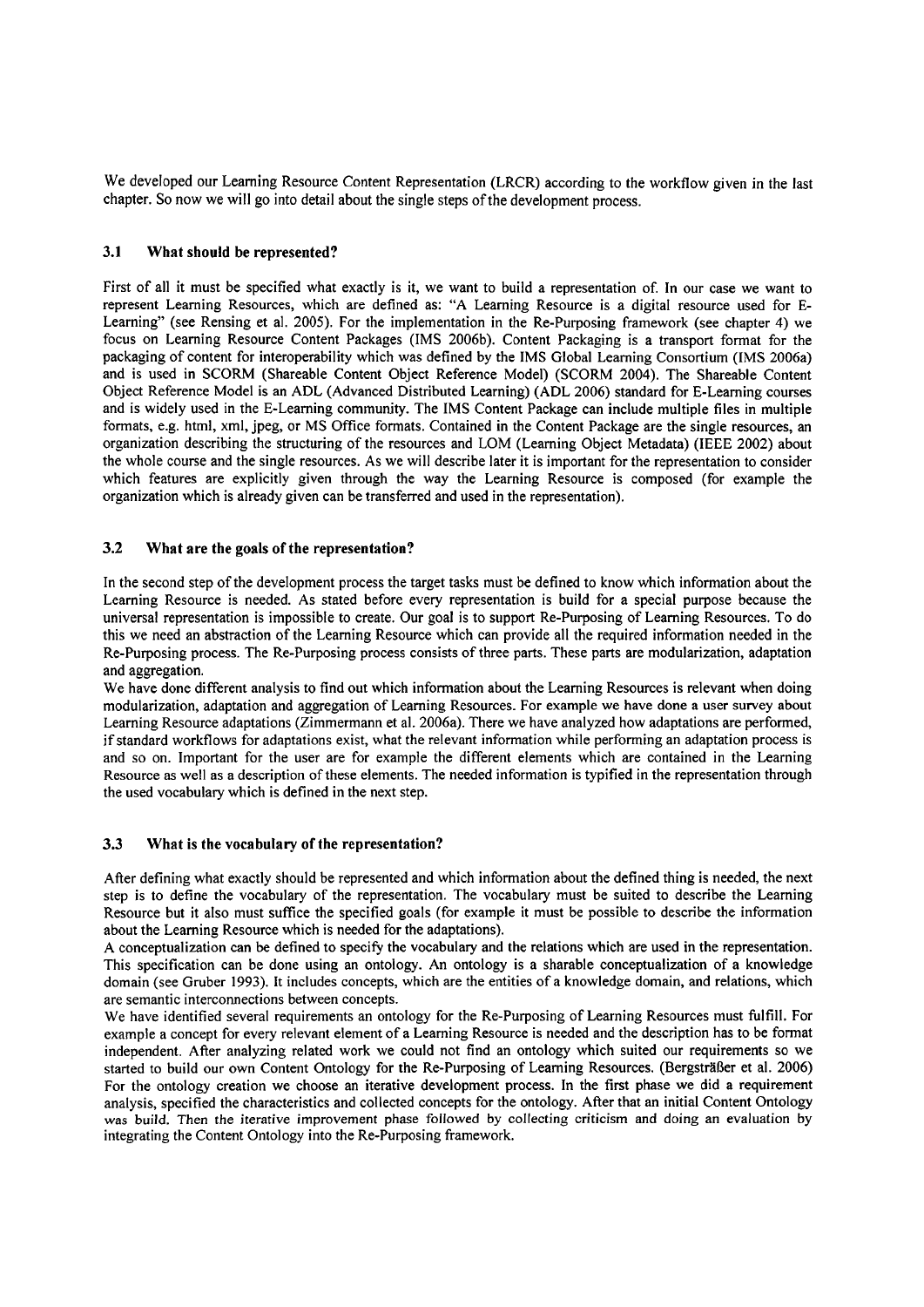We developed our Learning Resource Content Representation (LRCR) according to the workflow given in the last chapter. So now we will go into detail about the single steps of the development process.

### **3.1 What should be represented?**

First of all it must be specified what exactly is it, we Want to build a representation of. In our case we Want to represent Learning Resources, which are defined as: **"A** Leaming Resource is a digital resource used for E-Learning" (see Rensing et al. 2005). For the implementation in the Re-Purposing framework (see chapter 4) we focus on Learning Resource Content Packages (IMS 2006b). Content Packaging is a transport format for the packaging of content for interoperability which was defined by the IMS Global Learning Consortium (IMS 2006a) and is used in SCORM (Shareable Content Object Reference Model) (SCORM 2004). The Shareable Content Object Reference Model is an ADL (Advanced Distributed Learning) (ADL 2006) standard for E-Leaming Courses and is widely used in the E-Leaming community. The IMS Content Package can include multiple files in multiple formats, e.g. html, xml, jpeg, or MS Office formats. Contained in the Content Package are the single resources, an organization describing the structuring of the resources and LOM (Learning Object Metadata) (IEEE 2002) about the whole Course and the single resources. As we will describe later it is important for the representation to consider which features are explicitly given through the way the Learning Resource is composed (for example the organization which is already given can be transferred and used in the representation).

#### **3.2 What are the goals of the representation?**

In the second step of the development process the target tasks must be defined to know which information about the Learning Resource is needed. As stated before every representation is build for a special purpose because the universal representation is impossible to create. Our goal is to support Re-Purposing of Learning Resources. To do this we need an abstraction of the Leaming Resource which can provide all the required information needed in the Re-Purposing process. The Re-Purposing process consists of three parts. These parts are modularization, adaptation and aggregation.

We have done different analysis to find out which information about the Leaming Resources is relevant when doing modularization, adaptation and aggregation of Learning Resources. For example we have done a user survey about Learning Resource adaptations (Zimmermann et al. 2006a). There we have analyzed how adaptations are performed, if standard workflows for adaptations exist, what the relevant information while performing an adaptation process is and so On. Important for the User are for example the different elements which are contained in the Learning Resource as well as a description of these elements. The needed information is typified in the representation through the used vocabulary which is defined in the next step.

#### **3.3 What is the vocabulary of the representation?**

After defining what exactly should be represented and which information about the defined thing is needed, the next step is to define the vocabulary of the representation. The vocabulary must be suited to describe the Leaming Resource but it also must sufice the specified goals (for example it must be possible to describe the information about the Leaming Resource which is needed for the adaptations).

A conceptualization can be defined to specify the vocabulary and the relations which are used in the representation. This specification can be done using an ontology. An ontology is a sharable conceptualization of a knowledge domain (see Gruber 1993). It includes concepts, which are the entities of a knowledge domain, and relations, which are semantic interconnections between concepts.

We have identified several requirements an ontology for the Re-Purposing of Learning Resources must fulfill. For example a concept for every relevant element of a Leaming Resource is needed and the description has to be format independent. After analyzing related work we could not find an ontology which suited our requirements so we started to build our own Content Ontology for the Re-Purposing of Leaming Resources. (Bergsträßer et al. 2006) For the ontology creation we choose an iterative development process. In the first phase we did a requirement analysis, specified the characteristics and collected concepts for the ontology. After that an initial Content Ontology was build. Then the iterative improvement phase followed by collecting criticism and doing an evaluation by integrating the Content Ontology into the Re-Purposing framework.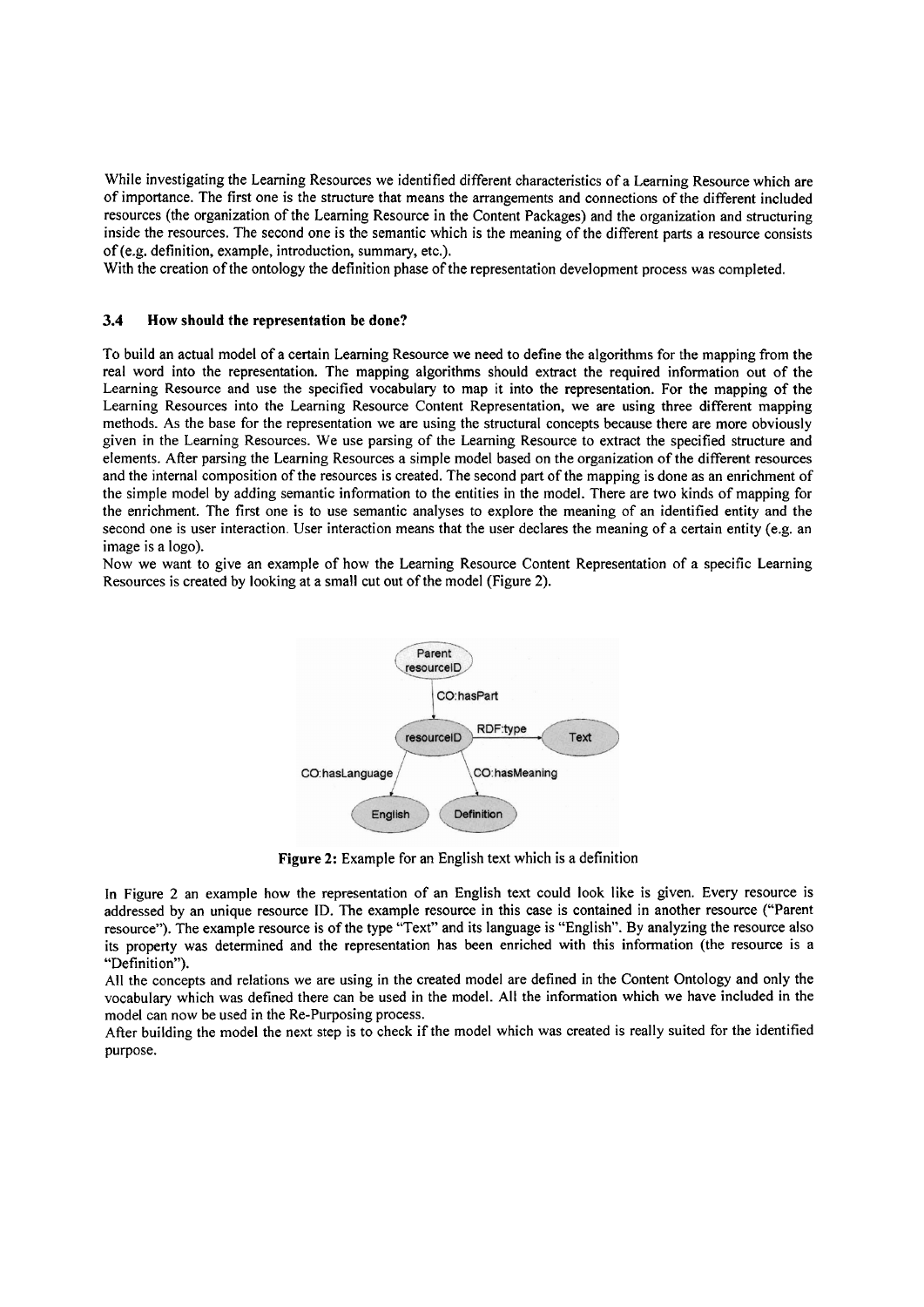While investigating the Learning Resources we identified different characteristics of a Learning Resource which are of importance. The first one is the structure that means the arrangements and connections of the different included resources (the organization of the Leaming Resource in the Content Packages) and the organization and structuring inside the resources. The second one is the semantic which is the meaning of the different parts a resource consists of (e.g. definition, example, introduction, Summary, etc.).

With the creation of the ontology the definition phase of the representation development process was completed.

#### **3.4** How should the representation **be** done?

To build an actual model of a certain Leaming Resource we need to define the algorithms for the mapping from the real word into the representation. The mapping algorithms should extract the required information out of the Learning Resource and use the specified vocabulary to map it into the representation. For the mapping of the Learning Resources into the Learning Resource Content Representation, we are using three different mapping methods. As the base for the representation we are using the structural concepts because there are more obviously given in the Learning Resources. We use parsing of the Leaming Resource to extract the specified structure and elements. After parsing the Learning Resources a simple model based on the organization of the different resources and the internal composition of the resources is created. The second part of the mapping is done as an ennchment of the simple model by adding semantic information to the entities in the model. There are two kinds of mapping for the enrichment. The first one is to use semantic analyses to explore the meaning of an identified entity and the second one is user interaction. User interaction means that the user declares the meaning of a certain entity (e.g. an image is a logo).

Now we Want to give an example of how the Leaming Resource Content Representation of a specific Learning Resources is created by looking at a small cut out of the model (Figure 2).



Figure **2:** Example for an English text which is a definition

In Figure 2 an example how the representation of an English text could look like is given. Every resource is addressed by an unique resource ID. The example resource in this case is contained in another resource ("Parent resource"). The example resource is of the type "Text" and its language is "English". By analyzing the resource also its property was determined and the representation has been enriched with this information (the resource is a "Definition").

All the concepts and relations we are using in the created model are defined in the Content Ontology and only the vocabulary which was defined there can be used in the model. All the information which we have included in the model can now be used in the Re-Purposing process.

After building the model the next step is to check if the model which was created is really suited for the identified purpose.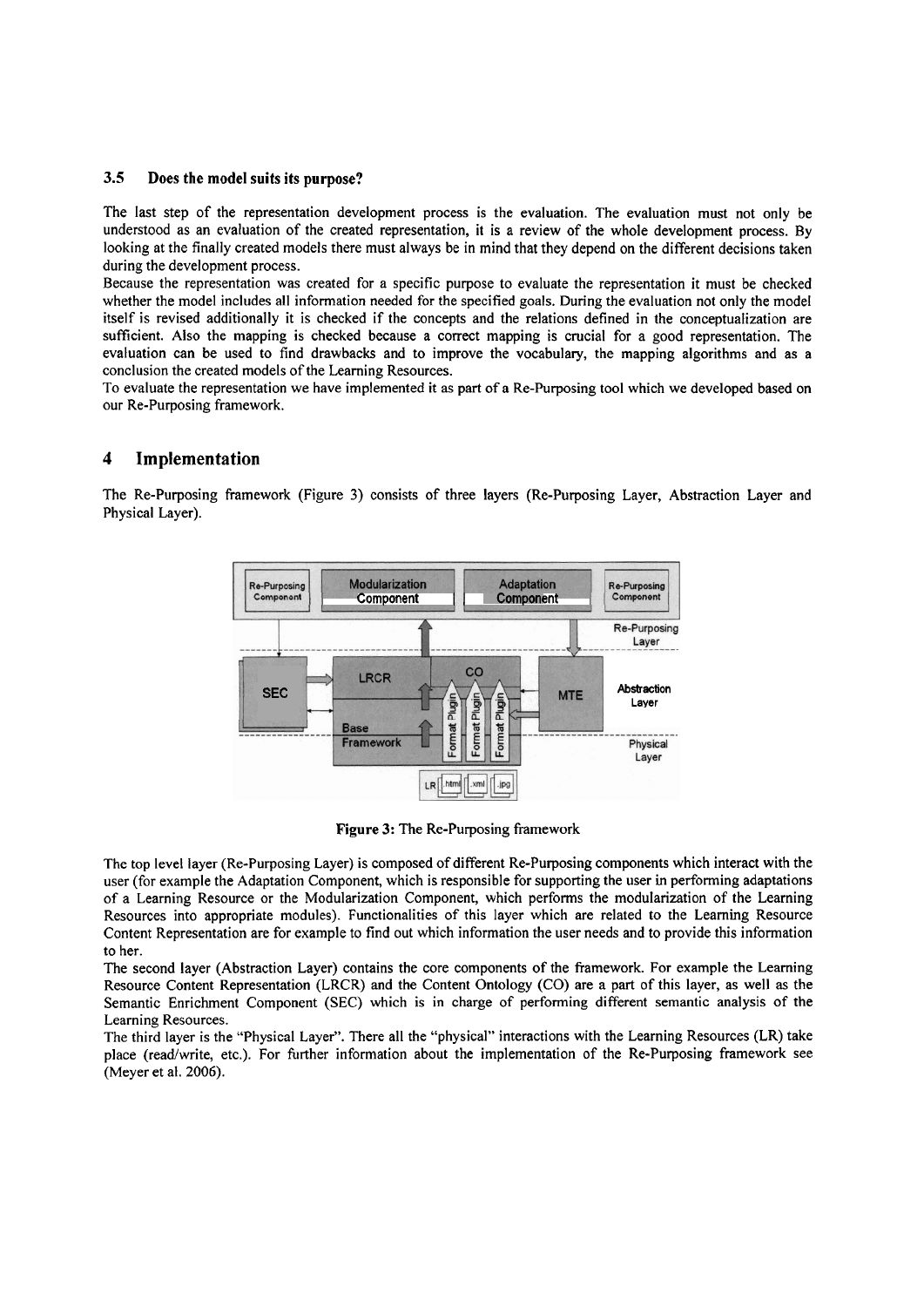#### **3.5 Does the model suits its purpose?**

The last step of the representation development process is the evaluation. The evaluation must not only be understood as an evaluation of the created representation, it is a review of the whole development process. By looking at the finally created models there must always be in mind that they depend on the different decisions taken during the development process.

Because the representation was created for a specific purpose to evaluate the representation it must be checked whether the model includes all information needed for the specified goals. During the evaluation not only the model itself is revised additionally it is checked if the concepts and the relations defined in the conceptualization are sufficient. Also the mapping is checked because a correct mapping is crucial for a good representation. The evaluation can be used to find drawbacks and to improve the vocabulary, the mapping algorithms and as a conclusion the created models of the Learning Resources.

To evaluate the representation we have implemented it **as** part of a Re-Purposing tool which we developed based on our Re-Purposing framework.

# **4 Implementation**

The Re-Purposing framework (Figure 3) consists of three layers (Re-Purposing Layer, Abstraction Layer and Physical Layer).



**Figure 3: The** Re-Purposing frarnework

The top level layer (Re-Purposing Layer) is composed of different Re-Purposing components which interact with the user (for example the Adaptation Component, which is responsible for supporting the user in performing adaptations of a Learning Resource or the Modularization Component, which performs the modularization of the Learning Resources into appropriate modules). Functionalities of this layer which are related to the Learning Resource Content Representation are for example to find out which information the user needs and to provide this information to her.

The second layer (Abstraction Layer) contains the core components of the framework. For example the Learning Resource Content Representation (LRCR) and the Content Ontology (CO) are a part of this layer, **as** well **as** the Semantic Enrichment Component (SEC) which is in charge of performing different semantic analysis of the Learning Resources.

The third layer is the "Physical Layer". There all the "physical" interactions with the Learning Resources (LR) take place (readlwrite, etc.). For further information about the implementation of the Re-Purposing framework see (Meyer et al. 2006).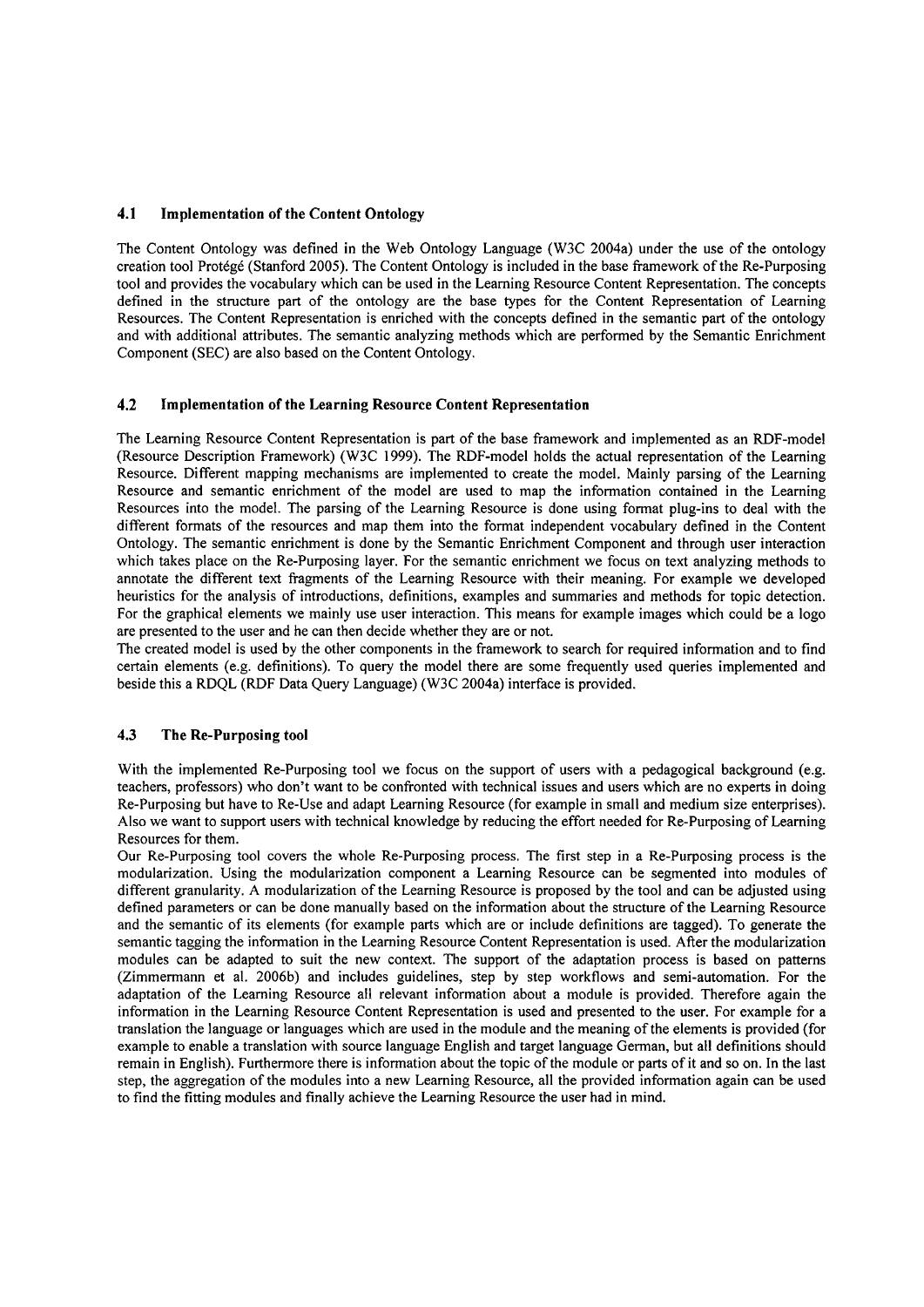### **4.1 Implementation of the Content Ontology**

The Content Ontology was defined in the Web Ontology Language (W3C 2004a) under the use of the ontology creation tool Protdgd (Stanford 2005). The Content Ontology is included in the base fiamework of the Re-Purposing tool and provides the vocabulary which can be used in the Leaming Resource Content Representation. The concepts defined in the structure part of the ontology are the base types for the Content Representation of Learning Resources. The Content Representation is enriched with the concepts defined in the semantic part of the ontology and with additional attributes. The semantic analyzing methods which are performed by the Semantic Enrichment Component (SEC) are also based on the Content Ontology.

#### **4.2 Implementation of the Learning Resource Content Representation**

The Leaming Resource Content Representation is part of the base fiamework and implemented as an RDF-model (Resource Description Framework) (W3C 1999). The RDF-model holds the actual representation of the Learning Resource. Different mapping mechanisms are implemented to create the model. Mainly parsing of the Learning Resource and semantic enrichment of the model are used to map the information contained in the Learning Resources into the model. The parsing of the Learning Resource is done using format plug-ins to deal with the different formats of the resources and map them into the format independent vocabulary defined in the Content Ontology. The semantic enrichment is done by the Semantic Enrichment Component and through user interaction which takes place on the Re-Purposing layer. For the semantic enrichment we focus on text analyzing methods to annotate the different text fragments of the Leaming Resource with their meaning. For example we developed heuristics for the analysis of introductions, definitions, examples and summaries and methods for topic detection. For the graphical elements we mainly use user interaction. This means for example images which could be a logo are presented to the user and he can then decide whether they are or not.

The created model is used by the other components in the fiamework to search for required information and to find certain elements (e.g. definitions). To query the model there are some frequently used queries implemented and beside this a RDQL (RDF Data Query Language) (W3C 2004a) interface is provided.

# **4.3 The Re-Purposing tool**

With the implemented Re-Purposing tool we focus on the support of users with a pedagogical background (e.g. teachers, professors) who don't Want to be confionted with technical issues and users which are no experts in doing Re-Purposing but have to Re-Use and adapt Learning Resource (for example in small and medium size enterprises). Also we Want to support users with technical knowledge by reducing the effort needed for Re-Purposing of Leaming Resources for them.

Our Re-Purposing tool Covers the whole Re-Purposing process. The first step in a Re-Purposing process is the modularization. Using the modularization component a Leaming Resource can be segmented into modules of different granularity. A modularization of the Learning Resource is proposed by the tool and can be adjusted using defined parameters or can be done manually based on the information about the structure of the Learning Resource and the semantic of its elements (for example parts which are or include definitions are tagged). To generate the semantic tagging the information in the Leaming Resource Content Representation is used. After the modularization modules can be adapted to suit the new context. The support of the adaptation process is based on patterns (Zimmermann et al. 2006b) and includes guidelines, step by step workflows and semi-automation. For the adaptation of the Leaming Resource all relevant information about a module is provided. Therefore again the information in the Learning Resource Content Representation is used and presented to the user. For example for a translation the language or languages which are used in the module and the meaning of the elements is provided (for example to enable a translation with source language English and target language German, but all definitions should remain in English). Furthermore there is information about the topic of the module or parts of it and so On. In the last step, the aggregation of the modules into a new Leaming Resource, all the provided information again can be used to find the fitting modules and finally achieve the Leaming Resource the User had in mind.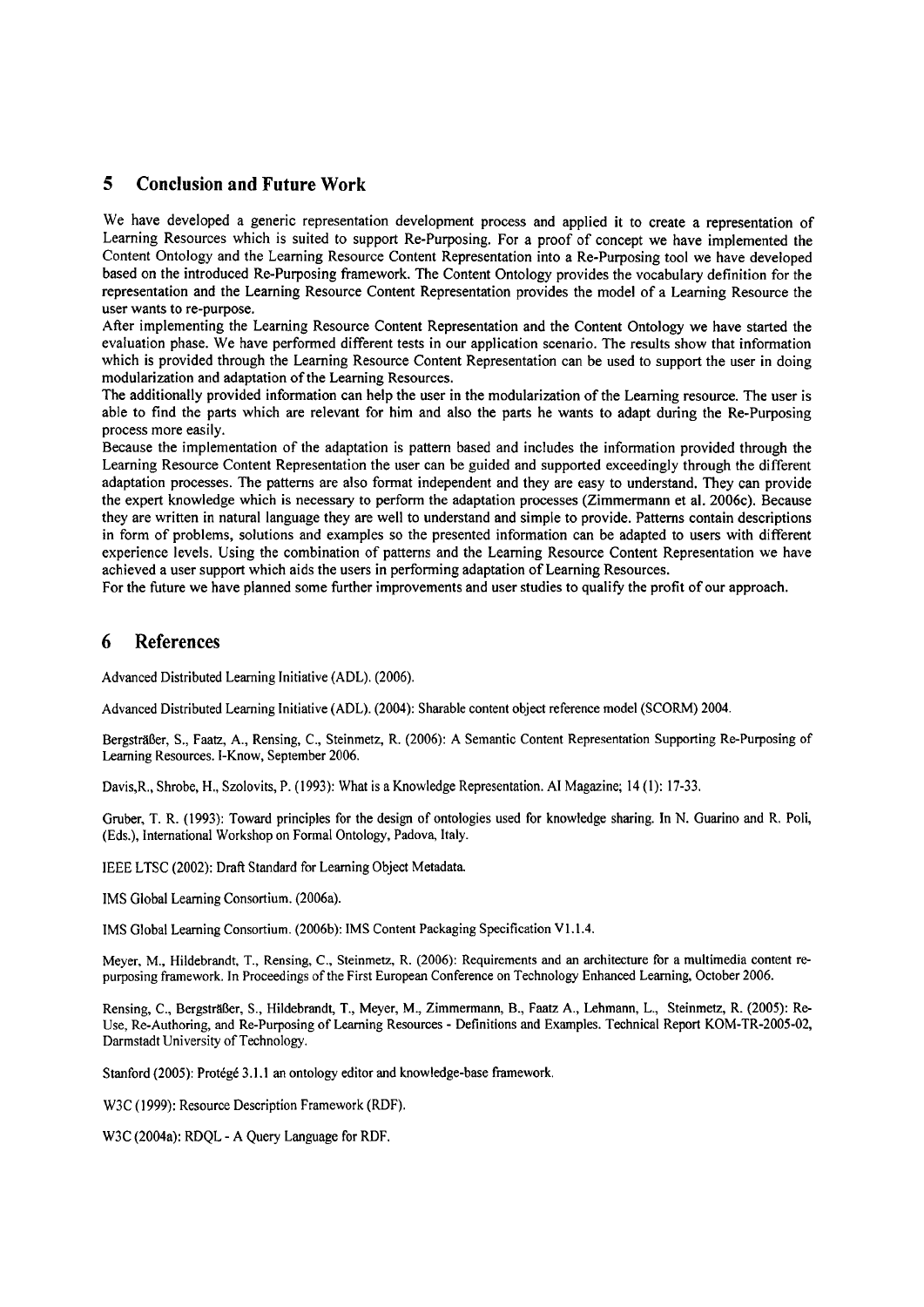# **5 Conclusion and Future Work**

We have developed a generic representation development process and applied it to create a representation of Learning Resources which is suited to support Re-Purposing. For a proof of concept we have implemented the Content Ontology and the Leaming Resource Content Representation into a Re-Purposing tool we have developed based on the introduced Re-Purposing framework. The Content Ontology provides the vocabulary definition for the representation and the Learning Resource Content Representation provides the model of a Leaming Resource the user wants to re-purpose.

After implementing the Learning Resource Content Representation and the Content Ontology we have started the evaluation phase. We have performed different tests in our application scenario. The results show that information which is provided through the Learning Resource Content Representation can be used to support the user in doing modularization and adaptation of the Leaming Resources.

The additionally provided information can help the user in the modularization of the Learning resource. The user is able to find the parts which are relevant for him and also the parts he wants to adapt during the Re-Purposing process more easily.

Because the implementation of the adaptation is pattern based and includes the information provided through the Learning Resource Content Representation the user can be guided and supported exceedingly through the different adaptation processes. The patterns are also format independent and they are easy to understand. They can provide the expert knowledge which is necessary to perform the adaptation processes (Zimmermann et al. 2006c). Because they are written in natural language they are well to understand and simple to provide. Patterns contain descriptions in form of problems, solutions and exampies so the presented information can be adapted to users with different experience levels. Using the combination of patterns and the Leaming Resource Content Representation we have achieved a user support which aids the users in performing adaptation of Learning Resources.

For the future we have planned some further improvements and user studies to qualify the profit of our approach.

## **6 References**

Advanced Distributed Leaming Initiative (ADL). (2006).

Advanced Distributed Leaming Initiative (ADL). (2004): Sharable content object reference model (SCORM) 2004.

Bergsträßer, S., Faatz, A., Rensing, C., Steinmetz, R. (2006): A Semantic Content Representation Supporting Re-Purposing of Learning Resources. I-Know, September 2006.

Davis,R., Shrobe, H., Szolovits, P. (1993): What is a Knowledge Representation. AI Magazine; 14 (1): 17-33.

Gruber, T. R. (1993): Toward principles for the design of ontologies used for knowledge sharing. In N. Guarino and R. Poli, (Eds.), International Workshop on Formal Ontology, Padova, Italy.

lEEE LTSC (2002): Drafi Standard for Leaming Object Metadata

IMS Global Learning Consortium. (2006a).

IMS Global Learning Consortium. (2006b): IMS Content Packaging Specification V1.1.4.

Meyer, M., Hildebrandt, T., Rensing, C., Steinmetz, R. (2006): Requirements and an architecture for a multimedia content repurposing framework. In Proceedings of the First European Conference on Technology Enhanced Learning, October 2006.

Rensing, C., Bergsträßer, S., Hildebrandt, T., Meyer, M., Zimmermann, B., **Faatz** A., Lehmann, L., Steinmetz, R. (2005): Re-Use, Re-Authoring, and Re-Purposing of Leaming Resources - Definitions and Examples. Technical Report KOM-TR-2005-02, Darmstadt University of Technology.

Stanford (2005): Protégé 3.1.1 an ontology editor and knowledge-base framework.

W3C (1999): Resource Description Framework (RDF).

W3C (2004a): RDQL - A Query Language for RDF.